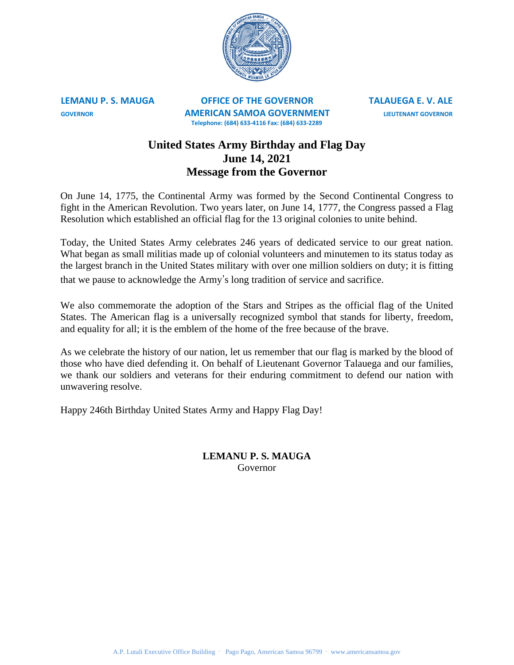

**LEMANU P. S. MAUGA OFFICE OF THE GOVERNOR TALAUEGA E. V. ALE GOVERNOR AMERICAN SAMOA GOVERNMENT LIEUTENANT GOVERNOR Telephone: (684) 633-4116 Fax: (684) 633-2289**

## **United States Army Birthday and Flag Day June 14, 2021 Message from the Governor**

On June 14, 1775, the Continental Army was formed by the Second Continental Congress to fight in the American Revolution. Two years later, on June 14, 1777, the Congress passed a Flag Resolution which established an official flag for the 13 original colonies to unite behind.

Today, the United States Army celebrates 246 years of dedicated service to our great nation. What began as small militias made up of colonial volunteers and minutemen to its status today as the largest branch in the United States military with over one million soldiers on duty; it is fitting that we pause to acknowledge the Army's long tradition of service and sacrifice.

We also commemorate the adoption of the Stars and Stripes as the official flag of the United States. The American flag is a universally recognized symbol that stands for liberty, freedom, and equality for all; it is the emblem of the home of the free because of the brave.

As we celebrate the history of our nation, let us remember that our flag is marked by the blood of those who have died defending it. On behalf of Lieutenant Governor Talauega and our families, we thank our soldiers and veterans for their enduring commitment to defend our nation with unwavering resolve.

Happy 246th Birthday United States Army and Happy Flag Day!

## **LEMANU P. S. MAUGA** Governor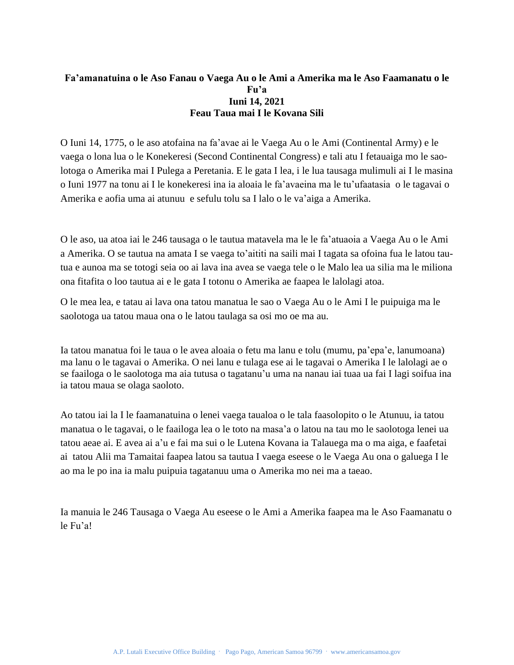## **Fa'amanatuina o le Aso Fanau o Vaega Au o le Ami a Amerika ma le Aso Faamanatu o le Fu'a Iuni 14, 2021 Feau Taua mai I le Kovana Sili**

O Iuni 14, 1775, o le aso atofaina na fa'avae ai le Vaega Au o le Ami (Continental Army) e le vaega o lona lua o le Konekeresi (Second Continental Congress) e tali atu I fetauaiga mo le saolotoga o Amerika mai I Pulega a Peretania. E le gata I lea, i le lua tausaga mulimuli ai I le masina o Iuni 1977 na tonu ai I le konekeresi ina ia aloaia le fa'avaeina ma le tu'ufaatasia o le tagavai o Amerika e aofia uma ai atunuu e sefulu tolu sa I lalo o le va'aiga a Amerika.

O le aso, ua atoa iai le 246 tausaga o le tautua matavela ma le le fa'atuaoia a Vaega Au o le Ami a Amerika. O se tautua na amata I se vaega to'aititi na saili mai I tagata sa ofoina fua le latou tautua e aunoa ma se totogi seia oo ai lava ina avea se vaega tele o le Malo lea ua silia ma le miliona ona fitafita o loo tautua ai e le gata I totonu o Amerika ae faapea le lalolagi atoa.

O le mea lea, e tatau ai lava ona tatou manatua le sao o Vaega Au o le Ami I le puipuiga ma le saolotoga ua tatou maua ona o le latou taulaga sa osi mo oe ma au.

Ia tatou manatua foi le taua o le avea aloaia o fetu ma lanu e tolu (mumu, pa'epa'e, lanumoana) ma lanu o le tagavai o Amerika. O nei lanu e tulaga ese ai le tagavai o Amerika I le lalolagi ae o se faailoga o le saolotoga ma aia tutusa o tagatanu'u uma na nanau iai tuaa ua fai I lagi soifua ina ia tatou maua se olaga saoloto.

Ao tatou iai la I le faamanatuina o lenei vaega taualoa o le tala faasolopito o le Atunuu, ia tatou manatua o le tagavai, o le faailoga lea o le toto na masa'a o latou na tau mo le saolotoga lenei ua tatou aeae ai. E avea ai a'u e fai ma sui o le Lutena Kovana ia Talauega ma o ma aiga, e faafetai ai tatou Alii ma Tamaitai faapea latou sa tautua I vaega eseese o le Vaega Au ona o galuega I le ao ma le po ina ia malu puipuia tagatanuu uma o Amerika mo nei ma a taeao.

Ia manuia le 246 Tausaga o Vaega Au eseese o le Ami a Amerika faapea ma le Aso Faamanatu o le Fu'a!